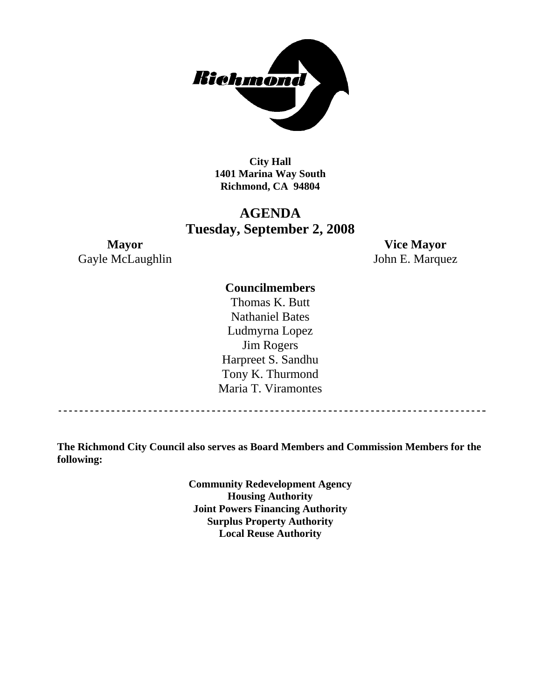

**City Hall 1401 Marina Way South Richmond, CA 94804** 

# **AGENDA Tuesday, September 2, 2008**

Gayle McLaughlin John E. Marquez

**Mayor Vice Mayor** 

## **Councilmembers**

Thomas K. Butt Nathaniel Bates Ludmyrna Lopez Jim Rogers Harpreet S. Sandhu Tony K. Thurmond Maria T. Viramontes

**The Richmond City Council also serves as Board Members and Commission Members for the following:** 

> **Community Redevelopment Agency Housing Authority Joint Powers Financing Authority Surplus Property Authority Local Reuse Authority**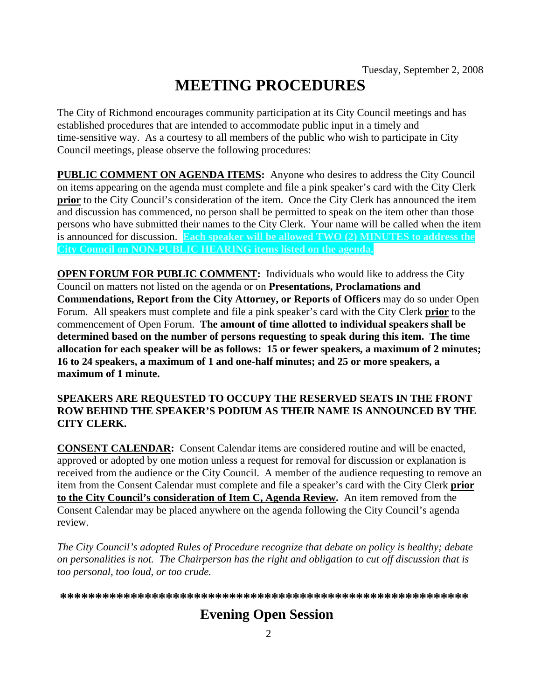# **MEETING PROCEDURES**

The City of Richmond encourages community participation at its City Council meetings and has established procedures that are intended to accommodate public input in a timely and time-sensitive way. As a courtesy to all members of the public who wish to participate in City Council meetings, please observe the following procedures:

**PUBLIC COMMENT ON AGENDA ITEMS:** Anyone who desires to address the City Council on items appearing on the agenda must complete and file a pink speaker's card with the City Clerk **prior** to the City Council's consideration of the item. Once the City Clerk has announced the item and discussion has commenced, no person shall be permitted to speak on the item other than those persons who have submitted their names to the City Clerk. Your name will be called when the item is announced for discussion. **Each speaker will be allowed TWO (2) MINUTES to address the City Council on NON-PUBLIC HEARING items listed on the agenda.** 

**OPEN FORUM FOR PUBLIC COMMENT:** Individuals who would like to address the City Council on matters not listed on the agenda or on **Presentations, Proclamations and Commendations, Report from the City Attorney, or Reports of Officers** may do so under Open Forum. All speakers must complete and file a pink speaker's card with the City Clerk **prior** to the commencement of Open Forum. **The amount of time allotted to individual speakers shall be determined based on the number of persons requesting to speak during this item. The time allocation for each speaker will be as follows: 15 or fewer speakers, a maximum of 2 minutes; 16 to 24 speakers, a maximum of 1 and one-half minutes; and 25 or more speakers, a maximum of 1 minute.** 

#### **SPEAKERS ARE REQUESTED TO OCCUPY THE RESERVED SEATS IN THE FRONT ROW BEHIND THE SPEAKER'S PODIUM AS THEIR NAME IS ANNOUNCED BY THE CITY CLERK.**

**CONSENT CALENDAR:** Consent Calendar items are considered routine and will be enacted, approved or adopted by one motion unless a request for removal for discussion or explanation is received from the audience or the City Council. A member of the audience requesting to remove an item from the Consent Calendar must complete and file a speaker's card with the City Clerk **prior to the City Council's consideration of Item C, Agenda Review.** An item removed from the Consent Calendar may be placed anywhere on the agenda following the City Council's agenda review.

*The City Council's adopted Rules of Procedure recognize that debate on policy is healthy; debate on personalities is not. The Chairperson has the right and obligation to cut off discussion that is too personal, too loud, or too crude.* 

**\*\*\*\*\*\*\*\*\*\*\*\*\*\*\*\*\*\*\*\*\*\*\*\*\*\*\*\*\*\*\*\*\*\*\*\*\*\*\*\*\*\*\*\*\*\*\*\*\*\*\*\*\*\*\*\*\*\***

# **Evening Open Session**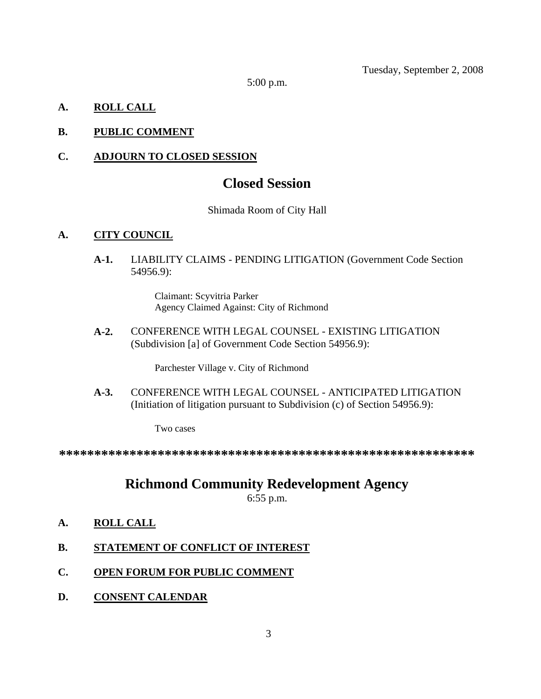Tuesday, September 2, 2008

5:00 p.m.

## **A. ROLL CALL**

## **B. PUBLIC COMMENT**

## **C. ADJOURN TO CLOSED SESSION**

# **Closed Session**

#### Shimada Room of City Hall

## **A. CITY COUNCIL**

**A-1.** LIABILITY CLAIMS - PENDING LITIGATION (Government Code Section 54956.9):

> Claimant: Scyvitria Parker Agency Claimed Against: City of Richmond

**A-2.** CONFERENCE WITH LEGAL COUNSEL - EXISTING LITIGATION (Subdivision [a] of Government Code Section 54956.9):

Parchester Village v. City of Richmond

**A-3.** CONFERENCE WITH LEGAL COUNSEL - ANTICIPATED LITIGATION (Initiation of litigation pursuant to Subdivision (c) of Section 54956.9):

Two cases

**\*\*\*\*\*\*\*\*\*\*\*\*\*\*\*\*\*\*\*\*\*\*\*\*\*\*\*\*\*\*\*\*\*\*\*\*\*\*\*\*\*\*\*\*\*\*\*\*\*\*\*\*\*\*\*\*\*\*\***

# **Richmond Community Redevelopment Agency**

6:55 p.m.

- **A. ROLL CALL**
- **B. STATEMENT OF CONFLICT OF INTEREST**
- **C. OPEN FORUM FOR PUBLIC COMMENT**
- **D. CONSENT CALENDAR**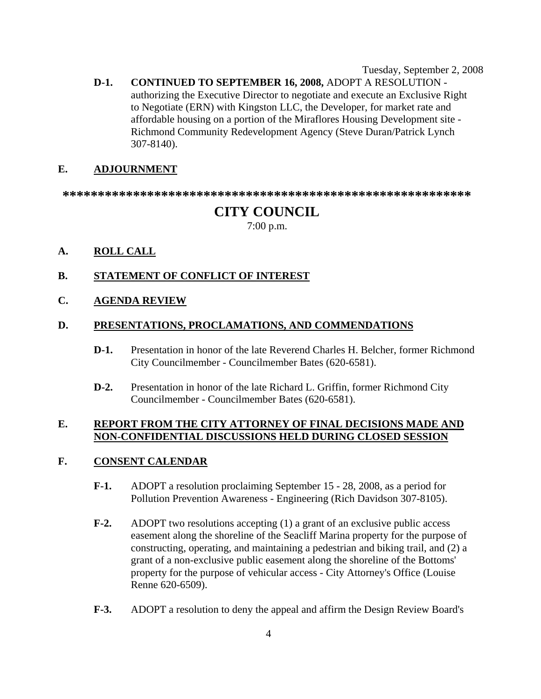Tuesday, September 2, 2008

**D-1. CONTINUED TO SEPTEMBER 16, 2008,** ADOPT A RESOLUTION authorizing the Executive Director to negotiate and execute an Exclusive Right to Negotiate (ERN) with Kingston LLC, the Developer, for market rate and affordable housing on a portion of the Miraflores Housing Development site - Richmond Community Redevelopment Agency (Steve Duran/Patrick Lynch 307-8140).

#### **E. ADJOURNMENT**

**\*\*\*\*\*\*\*\*\*\*\*\*\*\*\*\*\*\*\*\*\*\*\*\*\*\*\*\*\*\*\*\*\*\*\*\*\*\*\*\*\*\*\*\*\*\*\*\*\*\*\*\*\*\*\*\*\*\*** 

## **CITY COUNCIL**

7:00 p.m.

**A. ROLL CALL**

#### **B. STATEMENT OF CONFLICT OF INTEREST**

**C. AGENDA REVIEW**

#### **D. PRESENTATIONS, PROCLAMATIONS, AND COMMENDATIONS**

- **D-1.** Presentation in honor of the late Reverend Charles H. Belcher, former Richmond City Councilmember - Councilmember Bates (620-6581).
- **D-2.** Presentation in honor of the late Richard L. Griffin, former Richmond City Councilmember - Councilmember Bates (620-6581).

#### **E. REPORT FROM THE CITY ATTORNEY OF FINAL DECISIONS MADE AND NON-CONFIDENTIAL DISCUSSIONS HELD DURING CLOSED SESSION**

#### **F. CONSENT CALENDAR**

- **F-1.** ADOPT a resolution proclaiming September 15 28, 2008, as a period for Pollution Prevention Awareness - Engineering (Rich Davidson 307-8105).
- **F-2.** ADOPT two resolutions accepting (1) a grant of an exclusive public access easement along the shoreline of the Seacliff Marina property for the purpose of constructing, operating, and maintaining a pedestrian and biking trail, and (2) a grant of a non-exclusive public easement along the shoreline of the Bottoms' property for the purpose of vehicular access - City Attorney's Office (Louise Renne 620-6509).
- **F-3.** ADOPT a resolution to deny the appeal and affirm the Design Review Board's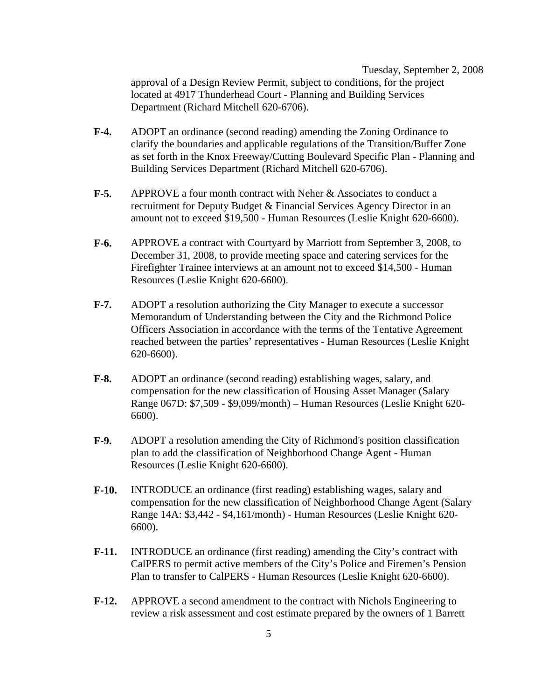Tuesday, September 2, 2008 approval of a Design Review Permit, subject to conditions, for the project located at 4917 Thunderhead Court - Planning and Building Services Department (Richard Mitchell 620-6706).

- **F-4.** ADOPT an ordinance (second reading) amending the Zoning Ordinance to clarify the boundaries and applicable regulations of the Transition/Buffer Zone as set forth in the Knox Freeway/Cutting Boulevard Specific Plan - Planning and Building Services Department (Richard Mitchell 620-6706).
- **F-5.** APPROVE a four month contract with Neher & Associates to conduct a recruitment for Deputy Budget & Financial Services Agency Director in an amount not to exceed \$19,500 - Human Resources (Leslie Knight 620-6600).
- **F-6.** APPROVE a contract with Courtyard by Marriott from September 3, 2008, to December 31, 2008, to provide meeting space and catering services for the Firefighter Trainee interviews at an amount not to exceed \$14,500 - Human Resources (Leslie Knight 620-6600).
- **F-7.** ADOPT a resolution authorizing the City Manager to execute a successor Memorandum of Understanding between the City and the Richmond Police Officers Association in accordance with the terms of the Tentative Agreement reached between the parties' representatives - Human Resources (Leslie Knight 620-6600).
- **F-8.** ADOPT an ordinance (second reading) establishing wages, salary, and compensation for the new classification of Housing Asset Manager (Salary Range 067D: \$7,509 - \$9,099/month) – Human Resources (Leslie Knight 620- 6600).
- **F-9.** ADOPT a resolution amending the City of Richmond's position classification plan to add the classification of Neighborhood Change Agent - Human Resources (Leslie Knight 620-6600).
- **F-10.** INTRODUCE an ordinance (first reading) establishing wages, salary and compensation for the new classification of Neighborhood Change Agent (Salary Range 14A: \$3,442 - \$4,161/month) - Human Resources (Leslie Knight 620- 6600).
- **F-11.** INTRODUCE an ordinance (first reading) amending the City's contract with CalPERS to permit active members of the City's Police and Firemen's Pension Plan to transfer to CalPERS - Human Resources (Leslie Knight 620-6600).
- **F-12.** APPROVE a second amendment to the contract with Nichols Engineering to review a risk assessment and cost estimate prepared by the owners of 1 Barrett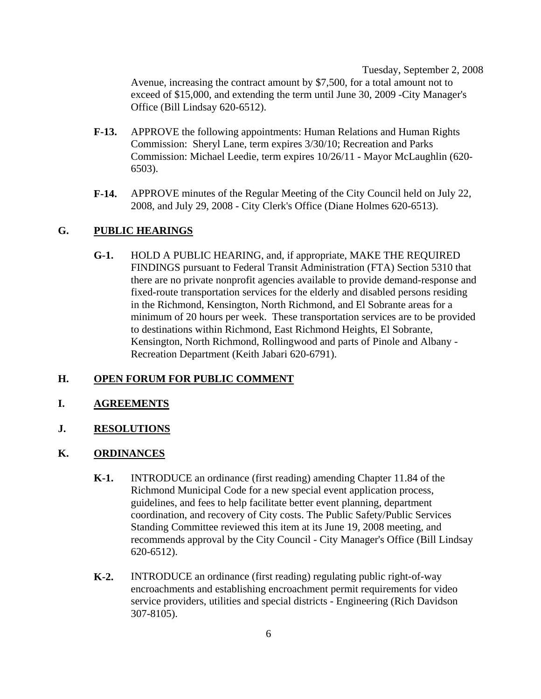Tuesday, September 2, 2008 Avenue, increasing the contract amount by \$7,500, for a total amount not to exceed of \$15,000, and extending the term until June 30, 2009 -City Manager's Office (Bill Lindsay 620-6512).

- **F-13.** APPROVE the following appointments: Human Relations and Human Rights Commission: Sheryl Lane, term expires 3/30/10; Recreation and Parks Commission: Michael Leedie, term expires 10/26/11 - Mayor McLaughlin (620- 6503).
- **F-14.** APPROVE minutes of the Regular Meeting of the City Council held on July 22, 2008, and July 29, 2008 - City Clerk's Office (Diane Holmes 620-6513).

#### **G. PUBLIC HEARINGS**

**G-1.** HOLD A PUBLIC HEARING, and, if appropriate, MAKE THE REQUIRED FINDINGS pursuant to Federal Transit Administration (FTA) Section 5310 that there are no private nonprofit agencies available to provide demand-response and fixed-route transportation services for the elderly and disabled persons residing in the Richmond, Kensington, North Richmond, and El Sobrante areas for a minimum of 20 hours per week. These transportation services are to be provided to destinations within Richmond, East Richmond Heights, El Sobrante, Kensington, North Richmond, Rollingwood and parts of Pinole and Albany - Recreation Department (Keith Jabari 620-6791).

#### **H. OPEN FORUM FOR PUBLIC COMMENT**

- **I. AGREEMENTS**
- **J. RESOLUTIONS**
- **K. ORDINANCES**
	- **K-1.** INTRODUCE an ordinance (first reading) amending Chapter 11.84 of the Richmond Municipal Code for a new special event application process, guidelines, and fees to help facilitate better event planning, department coordination, and recovery of City costs. The Public Safety/Public Services Standing Committee reviewed this item at its June 19, 2008 meeting, and recommends approval by the City Council - City Manager's Office (Bill Lindsay 620-6512).
	- **K-2.** INTRODUCE an ordinance (first reading) regulating public right-of-way encroachments and establishing encroachment permit requirements for video service providers, utilities and special districts - Engineering (Rich Davidson 307-8105).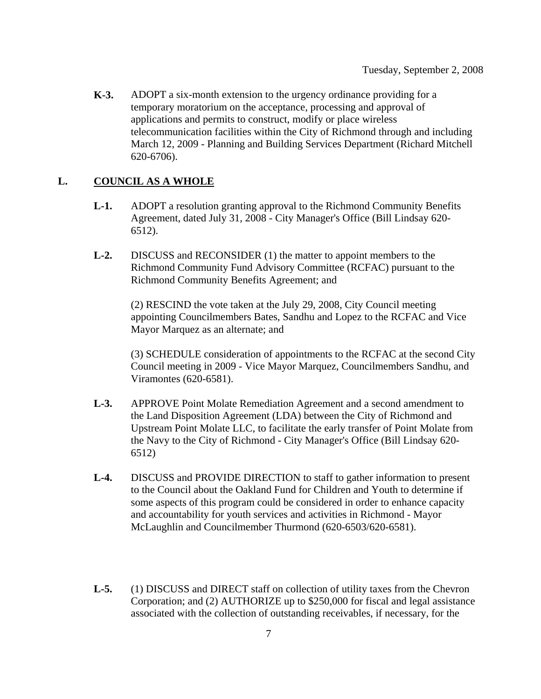**K-3.** ADOPT a six-month extension to the urgency ordinance providing for a temporary moratorium on the acceptance, processing and approval of applications and permits to construct, modify or place wireless telecommunication facilities within the City of Richmond through and including March 12, 2009 - Planning and Building Services Department (Richard Mitchell 620-6706).

#### **L. COUNCIL AS A WHOLE**

- **L-1.** ADOPT a resolution granting approval to the Richmond Community Benefits Agreement, dated July 31, 2008 - City Manager's Office (Bill Lindsay 620- 6512).
- **L-2.** DISCUSS and RECONSIDER (1) the matter to appoint members to the Richmond Community Fund Advisory Committee (RCFAC) pursuant to the Richmond Community Benefits Agreement; and

(2) RESCIND the vote taken at the July 29, 2008, City Council meeting appointing Councilmembers Bates, Sandhu and Lopez to the RCFAC and Vice Mayor Marquez as an alternate; and

(3) SCHEDULE consideration of appointments to the RCFAC at the second City Council meeting in 2009 - Vice Mayor Marquez, Councilmembers Sandhu, and Viramontes (620-6581).

- **L-3.** APPROVE Point Molate Remediation Agreement and a second amendment to the Land Disposition Agreement (LDA) between the City of Richmond and Upstream Point Molate LLC, to facilitate the early transfer of Point Molate from the Navy to the City of Richmond - City Manager's Office (Bill Lindsay 620- 6512)
- **L-4.** DISCUSS and PROVIDE DIRECTION to staff to gather information to present to the Council about the Oakland Fund for Children and Youth to determine if some aspects of this program could be considered in order to enhance capacity and accountability for youth services and activities in Richmond - Mayor McLaughlin and Councilmember Thurmond (620-6503/620-6581).
- **L-5.** (1) DISCUSS and DIRECT staff on collection of utility taxes from the Chevron Corporation; and (2) AUTHORIZE up to \$250,000 for fiscal and legal assistance associated with the collection of outstanding receivables, if necessary, for the